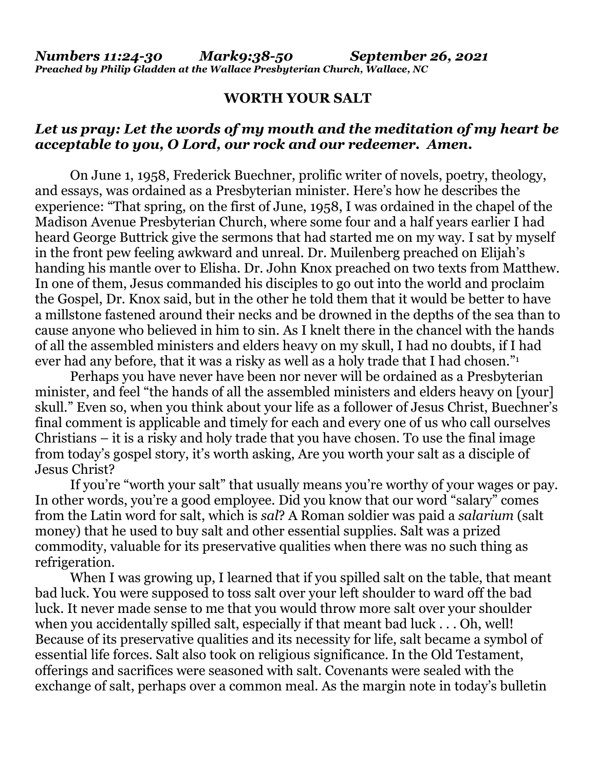## **WORTH YOUR SALT**

## *Let us pray: Let the words of my mouth and the meditation of my heart be acceptable to you, O Lord, our rock and our redeemer. Amen.*

 On June 1, 1958, Frederick Buechner, prolific writer of novels, poetry, theology, and essays, was ordained as a Presbyterian minister. Here's how he describes the experience: "That spring, on the first of June, 1958, I was ordained in the chapel of the Madison Avenue Presbyterian Church, where some four and a half years earlier I had heard George Buttrick give the sermons that had started me on my way. I sat by myself in the front pew feeling awkward and unreal. Dr. Muilenberg preached on Elijah's handing his mantle over to Elisha. Dr. John Knox preached on two texts from Matthew. In one of them, Jesus commanded his disciples to go out into the world and proclaim the Gospel, Dr. Knox said, but in the other he told them that it would be better to have a millstone fastened around their necks and be drowned in the depths of the sea than to cause anyone who believed in him to sin. As I knelt there in the chancel with the hands of all the assembled ministers and elders heavy on my skull, I had no doubts, if I had ever had any before, that it was a risky as well as a holy trade that I had chosen."<sup>1</sup>

 Perhaps you have never have been nor never will be ordained as a Presbyterian minister, and feel "the hands of all the assembled ministers and elders heavy on [your] skull." Even so, when you think about your life as a follower of Jesus Christ, Buechner's final comment is applicable and timely for each and every one of us who call ourselves Christians – it is a risky and holy trade that you have chosen. To use the final image from today's gospel story, it's worth asking, Are you worth your salt as a disciple of Jesus Christ?

 If you're "worth your salt" that usually means you're worthy of your wages or pay. In other words, you're a good employee. Did you know that our word "salary" comes from the Latin word for salt, which is *sal*? A Roman soldier was paid a *salarium* (salt money) that he used to buy salt and other essential supplies. Salt was a prized commodity, valuable for its preservative qualities when there was no such thing as refrigeration.

When I was growing up, I learned that if you spilled salt on the table, that meant bad luck. You were supposed to toss salt over your left shoulder to ward off the bad luck. It never made sense to me that you would throw more salt over your shoulder when you accidentally spilled salt, especially if that meant bad luck . . . Oh, well! Because of its preservative qualities and its necessity for life, salt became a symbol of essential life forces. Salt also took on religious significance. In the Old Testament, offerings and sacrifices were seasoned with salt. Covenants were sealed with the exchange of salt, perhaps over a common meal. As the margin note in today's bulletin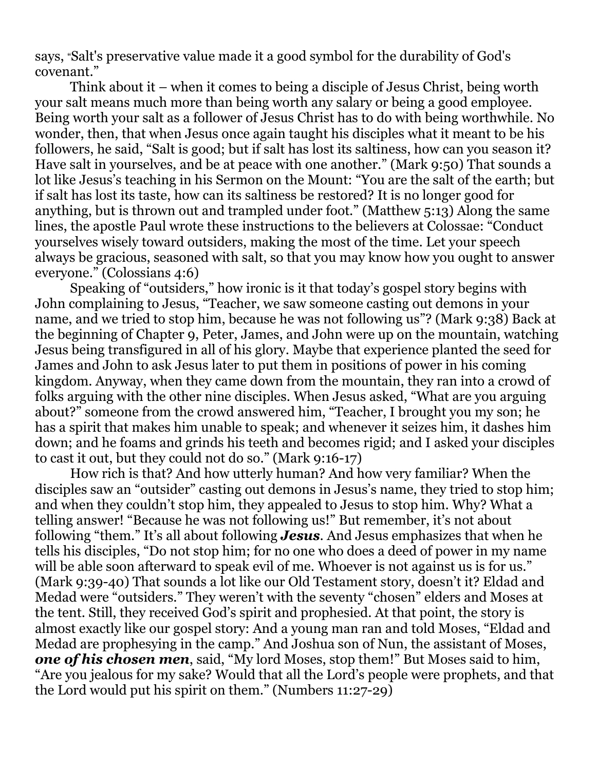says, "Salt's preservative value made it a good symbol for the durability of God's covenant."

 Think about it – when it comes to being a disciple of Jesus Christ, being worth your salt means much more than being worth any salary or being a good employee. Being worth your salt as a follower of Jesus Christ has to do with being worthwhile. No wonder, then, that when Jesus once again taught his disciples what it meant to be his followers, he said, "Salt is good; but if salt has lost its saltiness, how can you season it? Have salt in yourselves, and be at peace with one another." (Mark 9:50) That sounds a lot like Jesus's teaching in his Sermon on the Mount: "You are the salt of the earth; but if salt has lost its taste, how can its saltiness be restored? It is no longer good for anything, but is thrown out and trampled under foot." (Matthew 5:13) Along the same lines, the apostle Paul wrote these instructions to the believers at Colossae: "Conduct yourselves wisely toward outsiders, making the most of the time. Let your speech always be gracious, seasoned with salt, so that you may know how you ought to answer everyone." (Colossians 4:6)

 Speaking of "outsiders," how ironic is it that today's gospel story begins with John complaining to Jesus, "Teacher, we saw someone casting out demons in your name, and we tried to stop him, because he was not following us"? (Mark 9:38) Back at the beginning of Chapter 9, Peter, James, and John were up on the mountain, watching Jesus being transfigured in all of his glory. Maybe that experience planted the seed for James and John to ask Jesus later to put them in positions of power in his coming kingdom. Anyway, when they came down from the mountain, they ran into a crowd of folks arguing with the other nine disciples. When Jesus asked, "What are you arguing about?" someone from the crowd answered him, "Teacher, I brought you my son; he has a spirit that makes him unable to speak; and whenever it seizes him, it dashes him down; and he foams and grinds his teeth and becomes rigid; and I asked your disciples to cast it out, but they could not do so." (Mark 9:16-17)

 How rich is that? And how utterly human? And how very familiar? When the disciples saw an "outsider" casting out demons in Jesus's name, they tried to stop him; and when they couldn't stop him, they appealed to Jesus to stop him. Why? What a telling answer! "Because he was not following us!" But remember, it's not about following "them." It's all about following *Jesus*. And Jesus emphasizes that when he tells his disciples, "Do not stop him; for no one who does a deed of power in my name will be able soon afterward to speak evil of me. Whoever is not against us is for us." (Mark 9:39-40) That sounds a lot like our Old Testament story, doesn't it? Eldad and Medad were "outsiders." They weren't with the seventy "chosen" elders and Moses at the tent. Still, they received God's spirit and prophesied. At that point, the story is almost exactly like our gospel story: And a young man ran and told Moses, "Eldad and Medad are prophesying in the camp." And Joshua son of Nun, the assistant of Moses, *one of his chosen men*, said, "My lord Moses, stop them!" But Moses said to him, "Are you jealous for my sake? Would that all the Lord's people were prophets, and that the Lord would put his spirit on them." (Numbers 11:27-29)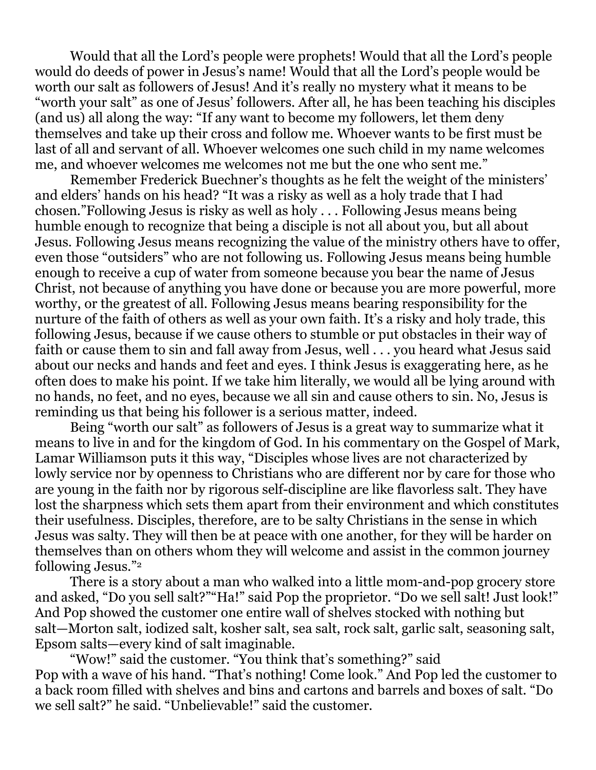Would that all the Lord's people were prophets! Would that all the Lord's people would do deeds of power in Jesus's name! Would that all the Lord's people would be worth our salt as followers of Jesus! And it's really no mystery what it means to be "worth your salt" as one of Jesus' followers. After all, he has been teaching his disciples (and us) all along the way: "If any want to become my followers, let them deny themselves and take up their cross and follow me. Whoever wants to be first must be last of all and servant of all. Whoever welcomes one such child in my name welcomes me, and whoever welcomes me welcomes not me but the one who sent me."

 Remember Frederick Buechner's thoughts as he felt the weight of the ministers' and elders' hands on his head? "It was a risky as well as a holy trade that I had chosen."Following Jesus is risky as well as holy . . . Following Jesus means being humble enough to recognize that being a disciple is not all about you, but all about Jesus. Following Jesus means recognizing the value of the ministry others have to offer, even those "outsiders" who are not following us. Following Jesus means being humble enough to receive a cup of water from someone because you bear the name of Jesus Christ, not because of anything you have done or because you are more powerful, more worthy, or the greatest of all. Following Jesus means bearing responsibility for the nurture of the faith of others as well as your own faith. It's a risky and holy trade, this following Jesus, because if we cause others to stumble or put obstacles in their way of faith or cause them to sin and fall away from Jesus, well . . . you heard what Jesus said about our necks and hands and feet and eyes. I think Jesus is exaggerating here, as he often does to make his point. If we take him literally, we would all be lying around with no hands, no feet, and no eyes, because we all sin and cause others to sin. No, Jesus is reminding us that being his follower is a serious matter, indeed.

 Being "worth our salt" as followers of Jesus is a great way to summarize what it means to live in and for the kingdom of God. In his commentary on the Gospel of Mark, Lamar Williamson puts it this way, "Disciples whose lives are not characterized by lowly service nor by openness to Christians who are different nor by care for those who are young in the faith nor by rigorous self-discipline are like flavorless salt. They have lost the sharpness which sets them apart from their environment and which constitutes their usefulness. Disciples, therefore, are to be salty Christians in the sense in which Jesus was salty. They will then be at peace with one another, for they will be harder on themselves than on others whom they will welcome and assist in the common journey following Jesus."<sup>2</sup>

There is a story about a man who walked into a little mom-and-pop grocery store and asked, "Do you sell salt?""Ha!" said Pop the proprietor. "Do we sell salt! Just look!" And Pop showed the customer one entire wall of shelves stocked with nothing but salt—Morton salt, iodized salt, kosher salt, sea salt, rock salt, garlic salt, seasoning salt, Epsom salts—every kind of salt imaginable.

"Wow!" said the customer. "You think that's something?" said Pop with a wave of his hand. "That's nothing! Come look." And Pop led the customer to a back room filled with shelves and bins and cartons and barrels and boxes of salt. "Do we sell salt?" he said. "Unbelievable!" said the customer.